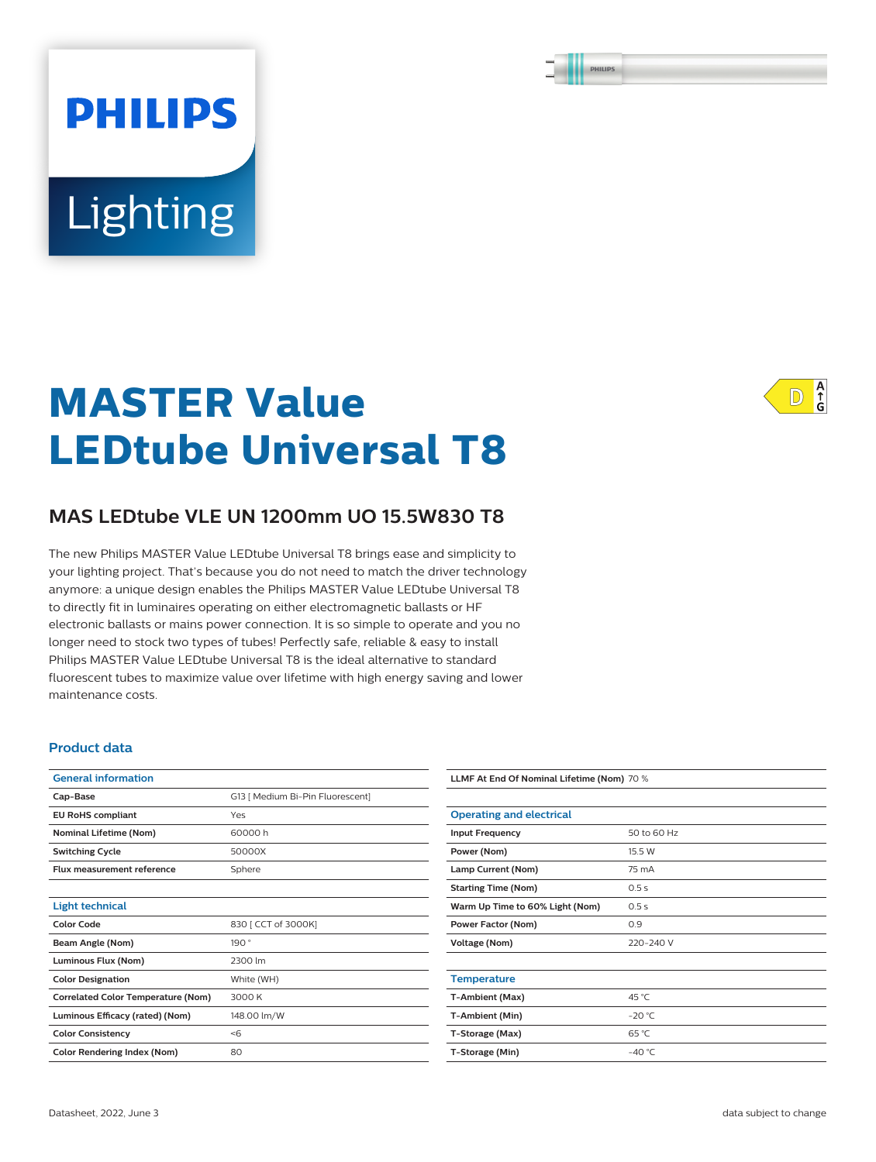# Lighting

**PHILIPS** 

## **MASTER Value LEDtube Universal T8**

### **MAS LEDtube VLE UN 1200mm UO 15.5W830 T8**

The new Philips MASTER Value LEDtube Universal T8 brings ease and simplicity to your lighting project. That's because you do not need to match the driver technology anymore: a unique design enables the Philips MASTER Value LEDtube Universal T8 to directly fit in luminaires operating on either electromagnetic ballasts or HF electronic ballasts or mains power connection. It is so simple to operate and you no longer need to stock two types of tubes! Perfectly safe, reliable & easy to install Philips MASTER Value LEDtube Universal T8 is the ideal alternative to standard fluorescent tubes to maximize value over lifetime with high energy saving and lower maintenance costs.

#### **Product data**

| <b>General information</b>                |                                  |  |  |  |  |
|-------------------------------------------|----------------------------------|--|--|--|--|
| Cap-Base                                  | G13 [ Medium Bi-Pin Fluorescent] |  |  |  |  |
| <b>EU RoHS compliant</b>                  | Yes                              |  |  |  |  |
| <b>Nominal Lifetime (Nom)</b>             | 60000 h                          |  |  |  |  |
| <b>Switching Cycle</b>                    | 50000X                           |  |  |  |  |
| Flux measurement reference                | Sphere                           |  |  |  |  |
|                                           |                                  |  |  |  |  |
| <b>Light technical</b>                    |                                  |  |  |  |  |
| Color Code                                | 830 [ CCT of 3000K]              |  |  |  |  |
| Beam Angle (Nom)                          | 190°                             |  |  |  |  |
| Luminous Flux (Nom)                       | 2300 lm                          |  |  |  |  |
| <b>Color Designation</b>                  | White (WH)                       |  |  |  |  |
| <b>Correlated Color Temperature (Nom)</b> | 3000 K                           |  |  |  |  |
| Luminous Efficacy (rated) (Nom)           | 148.00 lm/W                      |  |  |  |  |
| <b>Color Consistency</b>                  | < 6                              |  |  |  |  |
| <b>Color Rendering Index (Nom)</b>        | 80                               |  |  |  |  |

**LLMF At End Of Nominal Lifetime (Nom)** 70 %

| <b>Operating and electrical</b> |             |  |  |  |
|---------------------------------|-------------|--|--|--|
| <b>Input Frequency</b>          | 50 to 60 Hz |  |  |  |
| Power (Nom)                     | 15.5 W      |  |  |  |
| Lamp Current (Nom)              | 75 mA       |  |  |  |
| <b>Starting Time (Nom)</b>      | 0.5s        |  |  |  |
| Warm Up Time to 60% Light (Nom) | 0.5s        |  |  |  |
| Power Factor (Nom)              | 0.9         |  |  |  |
| <b>Voltage (Nom)</b>            | 220-240 V   |  |  |  |
|                                 |             |  |  |  |
| <b>Temperature</b>              |             |  |  |  |
| T-Ambient (Max)                 | 45 °C       |  |  |  |
| T-Ambient (Min)                 | $-20 °C$    |  |  |  |
| T-Storage (Max)                 | 65 °C       |  |  |  |
| T-Storage (Min)                 | $-40 °C$    |  |  |  |
|                                 |             |  |  |  |

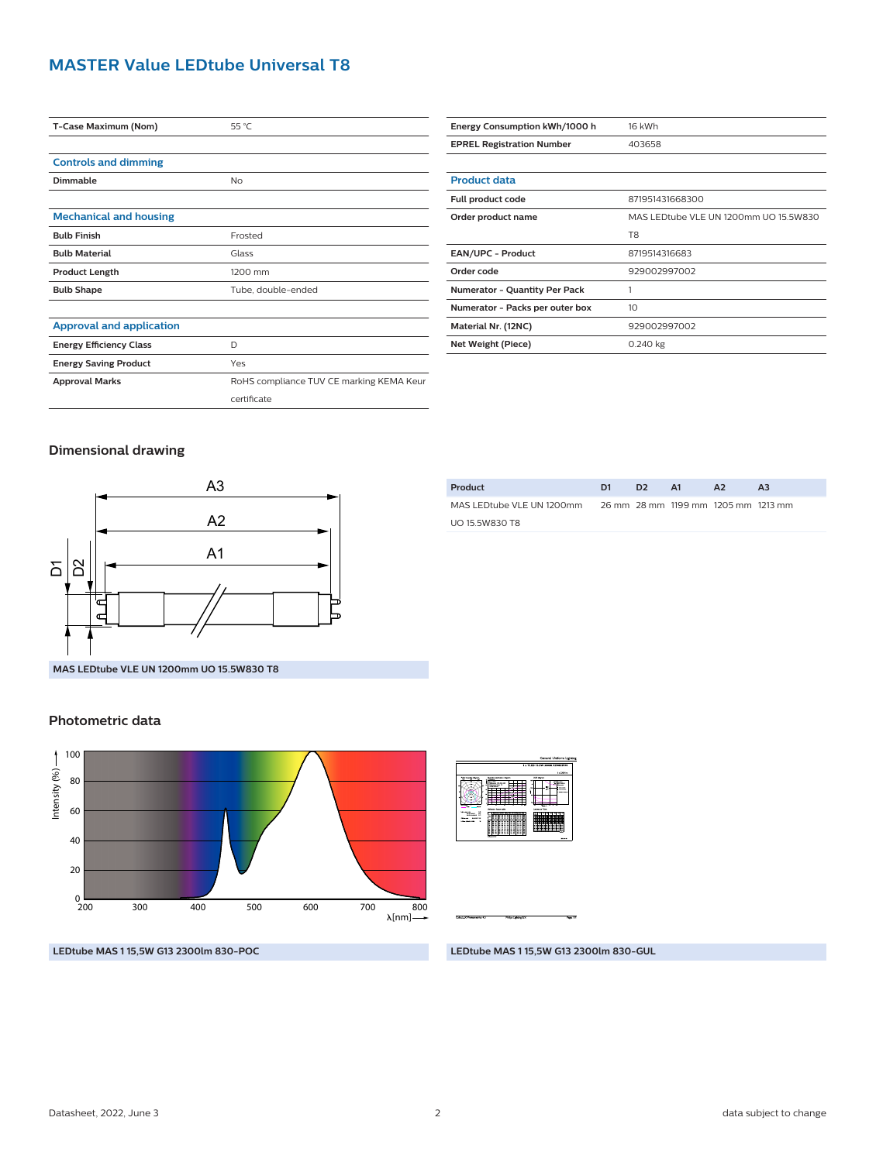#### **MASTER Value LEDtube Universal T8**

| T-Case Maximum (Nom)            | 55 °C                                    |  |  |  |  |
|---------------------------------|------------------------------------------|--|--|--|--|
|                                 |                                          |  |  |  |  |
| <b>Controls and dimming</b>     |                                          |  |  |  |  |
| <b>Dimmable</b>                 | No                                       |  |  |  |  |
|                                 |                                          |  |  |  |  |
| <b>Mechanical and housing</b>   |                                          |  |  |  |  |
| <b>Bulb Finish</b>              | Frosted                                  |  |  |  |  |
| <b>Bulb Material</b>            | Glass                                    |  |  |  |  |
| <b>Product Length</b>           | 1200 mm                                  |  |  |  |  |
| <b>Bulb Shape</b>               | Tube, double-ended                       |  |  |  |  |
|                                 |                                          |  |  |  |  |
| <b>Approval and application</b> |                                          |  |  |  |  |
| <b>Energy Efficiency Class</b>  | D                                        |  |  |  |  |
| <b>Energy Saving Product</b>    | Yes                                      |  |  |  |  |
| <b>Approval Marks</b>           | RoHS compliance TUV CE marking KEMA Keur |  |  |  |  |
|                                 | certificate                              |  |  |  |  |
|                                 |                                          |  |  |  |  |

| Energy Consumption kWh/1000 h    | 16 kWh |  |
|----------------------------------|--------|--|
| <b>EPREL Registration Number</b> | 403658 |  |
|                                  |        |  |
| Property and administration      |        |  |

| <b>Product data</b>                  |                                       |  |  |  |
|--------------------------------------|---------------------------------------|--|--|--|
| Full product code                    | 871951431668300                       |  |  |  |
| Order product name                   | MAS LEDtube VLE UN 1200mm UO 15.5W830 |  |  |  |
|                                      | T <sub>8</sub>                        |  |  |  |
| EAN/UPC - Product                    | 8719514316683                         |  |  |  |
| Order code                           | 929002997002                          |  |  |  |
| <b>Numerator - Quantity Per Pack</b> |                                       |  |  |  |
| Numerator - Packs per outer box      | 10                                    |  |  |  |
| Material Nr. (12NC)                  | 929002997002                          |  |  |  |
| Net Weight (Piece)                   | 0.240 kg                              |  |  |  |
|                                      |                                       |  |  |  |

#### **Dimensional drawing**



| Product                   | D1. | D2. | AA | A <sub>2</sub>                      | A3 |
|---------------------------|-----|-----|----|-------------------------------------|----|
| MAS LEDtube VLE UN 1200mm |     |     |    | 26 mm 28 mm 1199 mm 1205 mm 1213 mm |    |
| <b>UO 15.5W830 T8</b>     |     |     |    |                                     |    |
|                           |     |     |    |                                     |    |

**LEDtube MAS 1 15,5W G13 2300lm 830-POC**

#### **Photometric data**





**LEDtube MAS 1 15,5W G13 2300lm 830-GUL**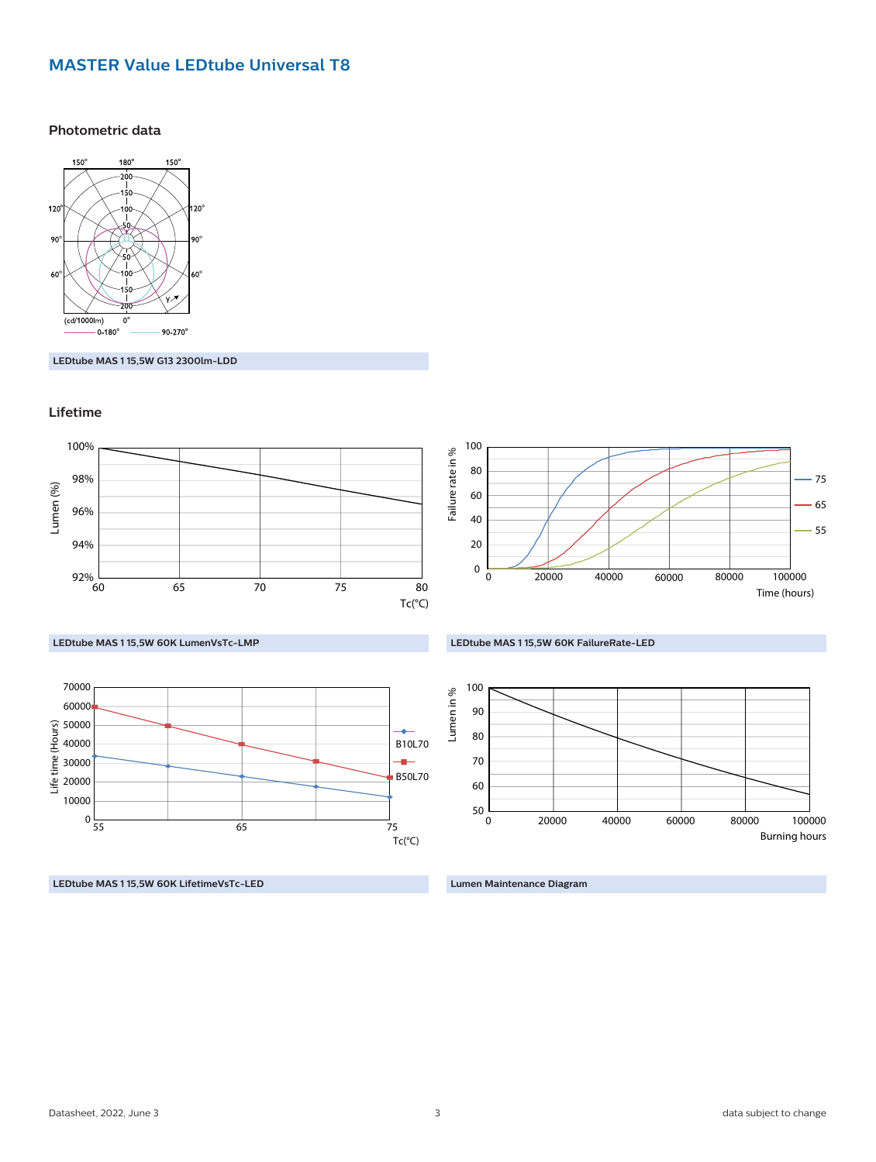#### **MASTER Value LEDtube Universal T8**





**LEDtube MAS 1 15,5W G13 2300lm-LDD**

#### **Lifetime**



Tc(°C)

**LEDtube MAS 1 15,5W 60K LifetimeVsTc-LED**

55 65 75

**Lumen Maintenance Diagram**

 $0 \frac{1}{55}$ 

Burning hours

0 20000 40000 60000 80000 100000